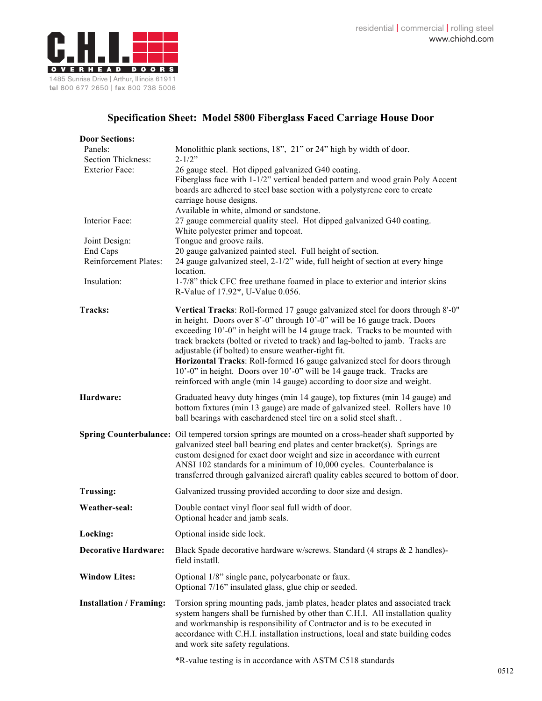

## **Specification Sheet: Model 5800 Fiberglass Faced Carriage House Door**

| <b>Door Sections:</b>             |                                                                                                                                                                  |
|-----------------------------------|------------------------------------------------------------------------------------------------------------------------------------------------------------------|
| Panels:                           | Monolithic plank sections, 18", 21" or 24" high by width of door.                                                                                                |
| Section Thickness:                | $2 - 1/2"$                                                                                                                                                       |
| <b>Exterior Face:</b>             | 26 gauge steel. Hot dipped galvanized G40 coating.                                                                                                               |
|                                   | Fiberglass face with 1-1/2" vertical beaded pattern and wood grain Poly Accent                                                                                   |
|                                   | boards are adhered to steel base section with a polystyrene core to create                                                                                       |
|                                   | carriage house designs.                                                                                                                                          |
|                                   | Available in white, almond or sandstone.                                                                                                                         |
| Interior Face:                    | 27 gauge commercial quality steel. Hot dipped galvanized G40 coating.                                                                                            |
|                                   | White polyester primer and topcoat.                                                                                                                              |
| Joint Design:                     | Tongue and groove rails.                                                                                                                                         |
| End Caps<br>Reinforcement Plates: | 20 gauge galvanized painted steel. Full height of section.                                                                                                       |
|                                   | 24 gauge galvanized steel, 2-1/2" wide, full height of section at every hinge<br>location.                                                                       |
| Insulation:                       | 1-7/8" thick CFC free urethane foamed in place to exterior and interior skins                                                                                    |
|                                   | R-Value of 17.92*, U-Value 0.056.                                                                                                                                |
|                                   |                                                                                                                                                                  |
| Tracks:                           | Vertical Tracks: Roll-formed 17 gauge galvanized steel for doors through 8'-0"<br>in height. Doors over 8'-0" through 10'-0" will be 16 gauge track. Doors       |
|                                   | exceeding 10'-0" in height will be 14 gauge track. Tracks to be mounted with                                                                                     |
|                                   | track brackets (bolted or riveted to track) and lag-bolted to jamb. Tracks are                                                                                   |
|                                   | adjustable (if bolted) to ensure weather-tight fit.                                                                                                              |
|                                   | Horizontal Tracks: Roll-formed 16 gauge galvanized steel for doors through                                                                                       |
|                                   | 10'-0" in height. Doors over 10'-0" will be 14 gauge track. Tracks are                                                                                           |
|                                   | reinforced with angle (min 14 gauge) according to door size and weight.                                                                                          |
| Hardware:                         |                                                                                                                                                                  |
|                                   | Graduated heavy duty hinges (min 14 gauge), top fixtures (min 14 gauge) and<br>bottom fixtures (min 13 gauge) are made of galvanized steel. Rollers have 10      |
|                                   | ball bearings with casehardened steel tire on a solid steel shaft. .                                                                                             |
|                                   |                                                                                                                                                                  |
|                                   | Spring Counterbalance: Oil tempered torsion springs are mounted on a cross-header shaft supported by                                                             |
|                                   | galvanized steel ball bearing end plates and center bracket(s). Springs are                                                                                      |
|                                   | custom designed for exact door weight and size in accordance with current                                                                                        |
|                                   | ANSI 102 standards for a minimum of 10,000 cycles. Counterbalance is<br>transferred through galvanized aircraft quality cables secured to bottom of door.        |
|                                   |                                                                                                                                                                  |
| <b>Trussing:</b>                  | Galvanized trussing provided according to door size and design.                                                                                                  |
| Weather-seal:                     | Double contact vinyl floor seal full width of door.                                                                                                              |
|                                   | Optional header and jamb seals.                                                                                                                                  |
| Locking:                          | Optional inside side lock.                                                                                                                                       |
| <b>Decorative Hardware:</b>       | Black Spade decorative hardware w/screws. Standard (4 straps & 2 handles)-                                                                                       |
|                                   | field instatll.                                                                                                                                                  |
| <b>Window Lites:</b>              | Optional 1/8" single pane, polycarbonate or faux.                                                                                                                |
|                                   | Optional 7/16" insulated glass, glue chip or seeded.                                                                                                             |
|                                   |                                                                                                                                                                  |
| <b>Installation / Framing:</b>    | Torsion spring mounting pads, jamb plates, header plates and associated track<br>system hangers shall be furnished by other than C.H.I. All installation quality |
|                                   | and workmanship is responsibility of Contractor and is to be executed in                                                                                         |
|                                   | accordance with C.H.I. installation instructions, local and state building codes                                                                                 |
|                                   | and work site safety regulations.                                                                                                                                |
|                                   |                                                                                                                                                                  |
|                                   | *R-value testing is in accordance with ASTM C518 standards                                                                                                       |